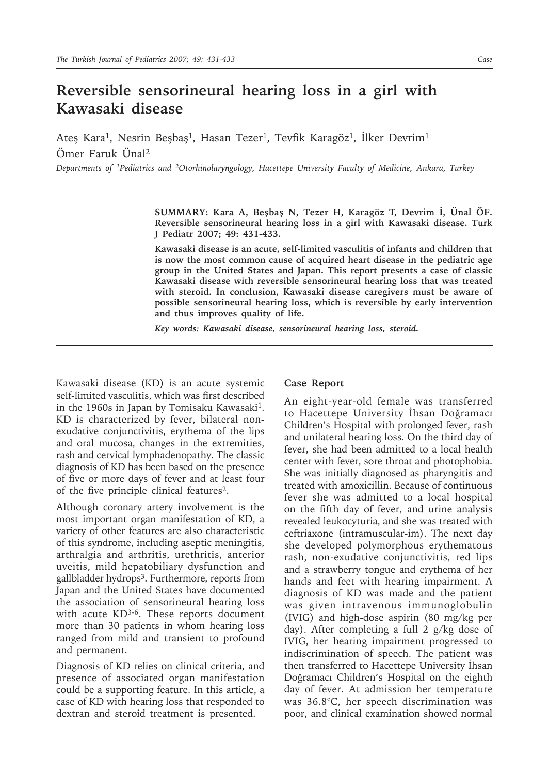## **Reversible sensorineural hearing loss in a girl with Kawasaki disease**

Ateş Kara<sup>1</sup>, Nesrin Beşbaş<sup>1</sup>, Hasan Tezer<sup>1</sup>, Tevfik Karagöz<sup>1</sup>, İlker Devrim<sup>1</sup> Ömer Faruk Ünal2

*Departments of 1Pediatrics and 2Otorhinolaryngology, Hacettepe University Faculty of Medicine, Ankara, Turkey*

**SUMMARY: Kara A, Beşbaş N, Tezer H, Karagöz T, Devrim İ, Ünal ÖF. Reversible sensorineural hearing loss in a girl with Kawasaki disease. Turk J Pediatr 2007; 49: 431-433.**

**Kawasaki disease is an acute, self-limited vasculitis of infants and children that is now the most common cause of acquired heart disease in the pediatric age group in the United States and Japan. This report presents a case of classic Kawasaki disease with reversible sensorineural hearing loss that was treated with steroid. In conclusion, Kawasaki disease caregivers must be aware of possible sensorineural hearing loss, which is reversible by early intervention and thus improves quality of life.**

*Key words: Kawasaki disease, sensorineural hearing loss, steroid.*

Kawasaki disease (KD) is an acute systemic self-limited vasculitis, which was first described in the 1960s in Japan by Tomisaku Kawasaki<sup>1</sup>. KD is characterized by fever, bilateral nonexudative conjunctivitis, erythema of the lips and oral mucosa, changes in the extremities, rash and cervical lymphadenopathy. The classic diagnosis of KD has been based on the presence of five or more days of fever and at least four of the five principle clinical features2.

Although coronary artery involvement is the most important organ manifestation of KD, a variety of other features are also characteristic of this syndrome, including aseptic meningitis, arthralgia and arthritis, urethritis, anterior uveitis, mild hepatobiliary dysfunction and gallbladder hydrops<sup>3</sup>. Furthermore, reports from Japan and the United States have documented the association of sensorineural hearing loss with acute  $KD^{3-6}$ . These reports document more than 30 patients in whom hearing loss ranged from mild and transient to profound and permanent.

Diagnosis of KD relies on clinical criteria, and presence of associated organ manifestation could be a supporting feature. In this article, a case of KD with hearing loss that responded to dextran and steroid treatment is presented.

## **Case Report**

An eight-year-old female was transferred to Hacettepe University İhsan Doğramacı Children's Hospital with prolonged fever, rash and unilateral hearing loss. On the third day of fever, she had been admitted to a local health center with fever, sore throat and photophobia. She was initially diagnosed as pharyngitis and treated with amoxicillin. Because of continuous fever she was admitted to a local hospital on the fifth day of fever, and urine analysis revealed leukocyturia, and she was treated with ceftriaxone (intramuscular-im). The next day she developed polymorphous erythematous rash, non-exudative conjunctivitis, red lips and a strawberry tongue and erythema of her hands and feet with hearing impairment. A diagnosis of KD was made and the patient was given intravenous immunoglobulin (IVIG) and high-dose aspirin (80 mg/kg per day). After completing a full 2 g/kg dose of IVIG, her hearing impairment progressed to indiscrimination of speech. The patient was then transferred to Hacettepe University İhsan Doğramacı Children's Hospital on the eighth day of fever. At admission her temperature was 36.8°C, her speech discrimination was poor, and clinical examination showed normal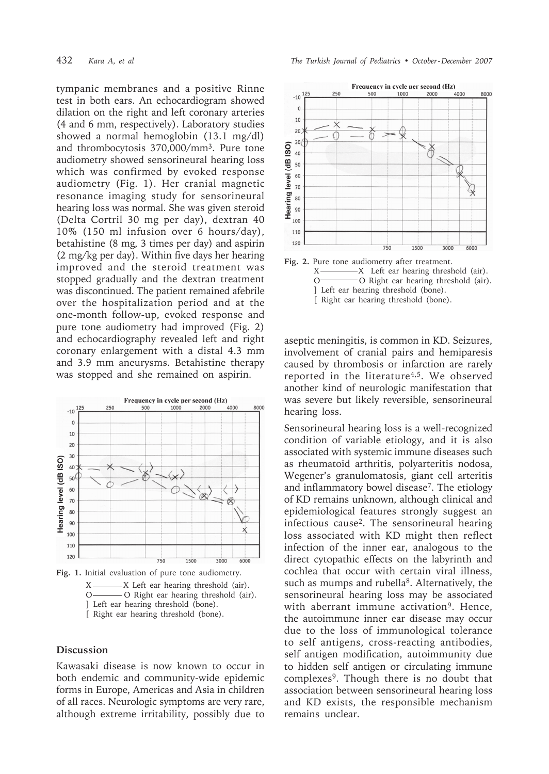tympanic membranes and a positive Rinne test in both ears. An echocardiogram showed dilation on the right and left coronary arteries (4 and 6 mm, respectively). Laboratory studies showed a normal hemoglobin (13.1 mg/dl) and thrombocytosis 370,000/mm3. Pure tone audiometry showed sensorineural hearing loss which was confirmed by evoked response audiometry (Fig. 1). Her cranial magnetic resonance imaging study for sensorineural hearing loss was normal. She was given steroid (Delta Cortril 30 mg per day), dextran 40 10% (150 ml infusion over 6 hours/day), betahistine (8 mg, 3 times per day) and aspirin (2 mg/kg per day). Within five days her hearing improved and the steroid treatment was stopped gradually and the dextran treatment was discontinued. The patient remained afebrile over the hospitalization period and at the one-month follow-up, evoked response and pure tone audiometry had improved (Fig. 2) and echocardiography revealed left and right coronary enlargement with a distal 4.3 mm and 3.9 mm aneurysms. Betahistine therapy was stopped and she remained on aspirin.



**Fig. 1.** Initial evaluation of pure tone audiometry. -X Left ear hearing threshold (air). O **O** Right ear hearing threshold (air). ] Left ear hearing threshold (bone). [ Right ear hearing threshold (bone).

## **Discussion**

Kawasaki disease is now known to occur in both endemic and community-wide epidemic forms in Europe, Americas and Asia in children of all races. Neurologic symptoms are very rare, although extreme irritability, possibly due to

432 *Kara A, et al The Turkish Journal of Pediatrics • October - December 2007*





aseptic meningitis, is common in KD. Seizures, involvement of cranial pairs and hemiparesis caused by thrombosis or infarction are rarely reported in the literature<sup>4,5</sup>. We observed another kind of neurologic manifestation that was severe but likely reversible, sensorineural hearing loss.

Sensorineural hearing loss is a well-recognized condition of variable etiology, and it is also associated with systemic immune diseases such as rheumatoid arthritis, polyarteritis nodosa, Wegener's granulomatosis, giant cell arteritis and inflammatory bowel disease<sup>7</sup>. The etiology of KD remains unknown, although clinical and epidemiological features strongly suggest an infectious cause2. The sensorineural hearing loss associated with KD might then reflect infection of the inner ear, analogous to the direct cytopathic effects on the labyrinth and cochlea that occur with certain viral illness, such as mumps and rubella<sup>8</sup>. Alternatively, the sensorineural hearing loss may be associated with aberrant immune activation<sup>9</sup>. Hence, the autoimmune inner ear disease may occur due to the loss of immunological tolerance to self antigens, cross-reacting antibodies, self antigen modification, autoimmunity due to hidden self antigen or circulating immune complexes9. Though there is no doubt that association between sensorineural hearing loss and KD exists, the responsible mechanism remains unclear.